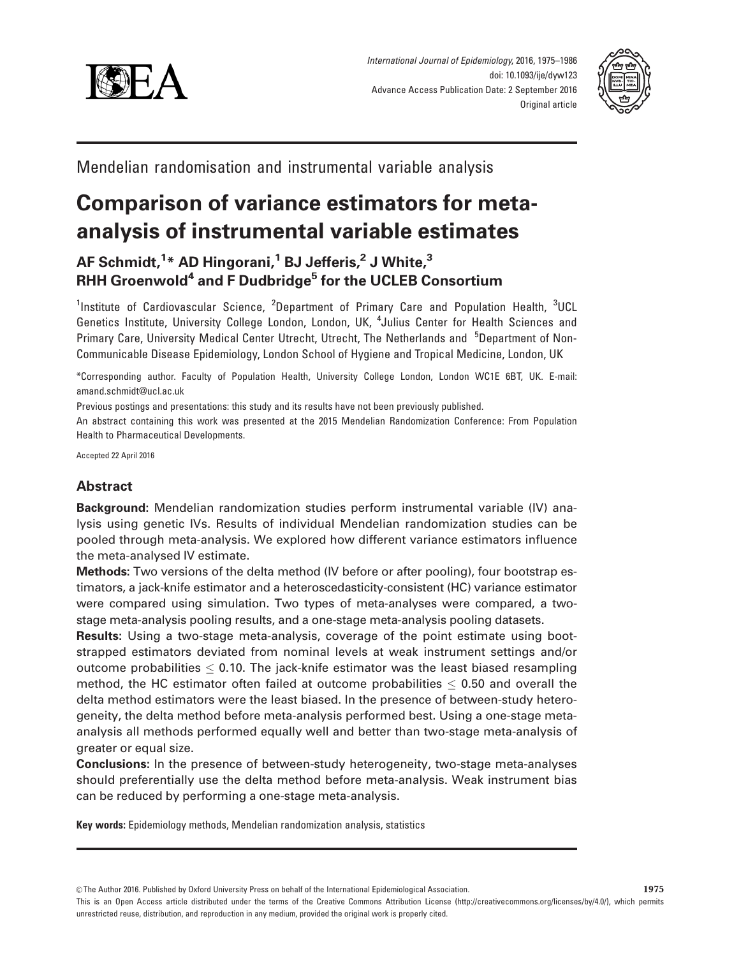



Mendelian randomisation and instrumental variable analysis

# Comparison of variance estimators for metaanalysis of instrumental variable estimates

# AF Schmidt,<sup>1</sup>\* AD Hingorani,<sup>1</sup> BJ Jefferis,<sup>2</sup> J White,<sup>3</sup> RHH Groenwold<sup>4</sup> and F Dudbridge<sup>5</sup> for the UCLEB Consortium

<sup>1</sup>Institute of Cardiovascular Science, <sup>2</sup>Department of Primary Care and Population Health, <sup>3</sup>UCL Genetics Institute, University College London, London, UK, <sup>4</sup>Julius Center for Health Sciences and Primary Care, University Medical Center Utrecht, Utrecht, The Netherlands and <sup>5</sup>Department of Non-Communicable Disease Epidemiology, London School of Hygiene and Tropical Medicine, London, UK

\*Corresponding author. Faculty of Population Health, University College London, London WC1E 6BT, UK. E-mail: amand.schmidt@ucl.ac.uk

Previous postings and presentations: this study and its results have not been previously published.

An abstract containing this work was presented at the 2015 Mendelian Randomization Conference: From Population Health to Pharmaceutical Developments.

Accepted 22 April 2016

# Abstract

Background: Mendelian randomization studies perform instrumental variable (IV) analysis using genetic IVs. Results of individual Mendelian randomization studies can be pooled through meta-analysis. We explored how different variance estimators influence the meta-analysed IV estimate.

Methods: Two versions of the delta method (IV before or after pooling), four bootstrap estimators, a jack-knife estimator and a heteroscedasticity-consistent (HC) variance estimator were compared using simulation. Two types of meta-analyses were compared, a twostage meta-analysis pooling results, and a one-stage meta-analysis pooling datasets.

Results: Using a two-stage meta-analysis, coverage of the point estimate using bootstrapped estimators deviated from nominal levels at weak instrument settings and/or outcome probabilities  $\leq$  0.10. The jack-knife estimator was the least biased resampling method, the HC estimator often failed at outcome probabilities  $\leq$  0.50 and overall the delta method estimators were the least biased. In the presence of between-study heterogeneity, the delta method before meta-analysis performed best. Using a one-stage metaanalysis all methods performed equally well and better than two-stage meta-analysis of greater or equal size.

Conclusions: In the presence of between-study heterogeneity, two-stage meta-analyses should preferentially use the delta method before meta-analysis. Weak instrument bias can be reduced by performing a one-stage meta-analysis.

Key words: Epidemiology methods, Mendelian randomization analysis, statistics

 $\circ$ The Author 2016. Published by Oxford University Press on behalf of the International Epidemiological Association. 1975

This is an Open Access article distributed under the terms of the Creative Commons Attribution License (http://creativecommons.org/licenses/by/4.0/), which permits unrestricted reuse, distribution, and reproduction in any medium, provided the original work is properly cited.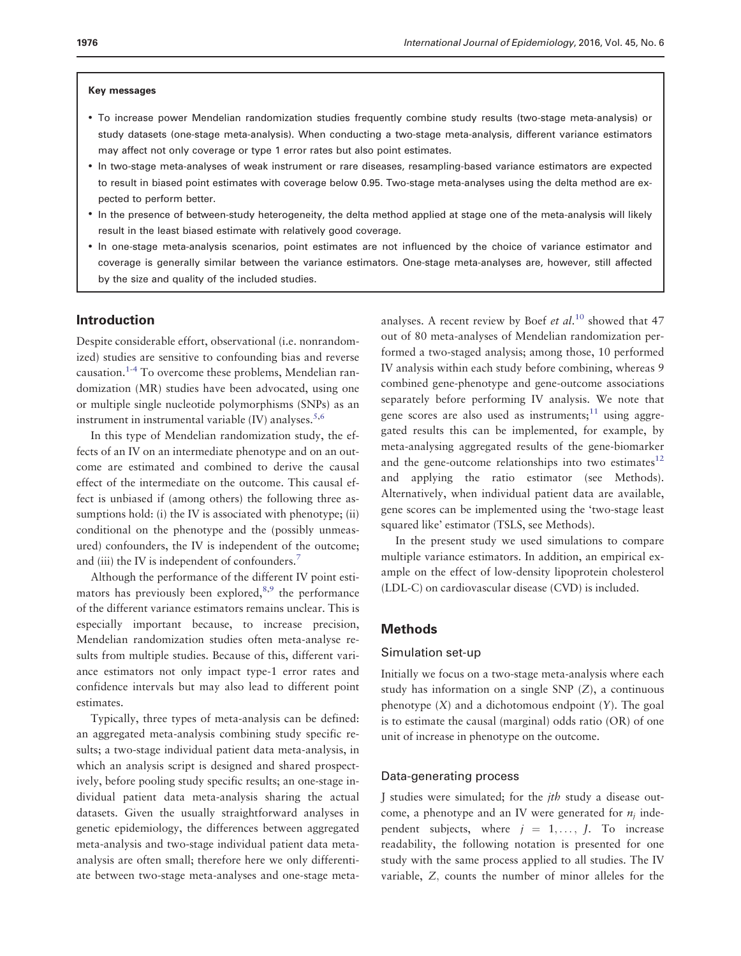#### Key messages

- To increase power Mendelian randomization studies frequently combine study results (two-stage meta-analysis) or study datasets (one-stage meta-analysis). When conducting a two-stage meta-analysis, different variance estimators may affect not only coverage or type 1 error rates but also point estimates.
- In two-stage meta-analyses of weak instrument or rare diseases, resampling-based variance estimators are expected to result in biased point estimates with coverage below 0.95. Two-stage meta-analyses using the delta method are expected to perform better.
- In the presence of between-study heterogeneity, the delta method applied at stage one of the meta-analysis will likely result in the least biased estimate with relatively good coverage.
- In one-stage meta-analysis scenarios, point estimates are not influenced by the choice of variance estimator and coverage is generally similar between the variance estimators. One-stage meta-analyses are, however, still affected by the size and quality of the included studies.

# Introduction

Despite considerable effort, observational (i.e. nonrandomized) studies are sensitive to confounding bias and reverse causation.[1](#page-10-0)-[4](#page-10-0) To overcome these problems, Mendelian randomization (MR) studies have been advocated, using one or multiple single nucleotide polymorphisms (SNPs) as an instrument in instrumental variable  $(IV)$  analyses.<sup>[5,6](#page-10-0)</sup>

In this type of Mendelian randomization study, the effects of an IV on an intermediate phenotype and on an outcome are estimated and combined to derive the causal effect of the intermediate on the outcome. This causal effect is unbiased if (among others) the following three assumptions hold: (i) the IV is associated with phenotype; (ii) conditional on the phenotype and the (possibly unmeasured) confounders, the IV is independent of the outcome; and (iii) the IV is independent of confounders.<sup>[7](#page-10-0)</sup>

Although the performance of the different IV point estimators has previously been explored, $8,9$  the performance of the different variance estimators remains unclear. This is especially important because, to increase precision, Mendelian randomization studies often meta-analyse results from multiple studies. Because of this, different variance estimators not only impact type-1 error rates and confidence intervals but may also lead to different point estimates.

Typically, three types of meta-analysis can be defined: an aggregated meta-analysis combining study specific results; a two-stage individual patient data meta-analysis, in which an analysis script is designed and shared prospectively, before pooling study specific results; an one-stage individual patient data meta-analysis sharing the actual datasets. Given the usually straightforward analyses in genetic epidemiology, the differences between aggregated meta-analysis and two-stage individual patient data metaanalysis are often small; therefore here we only differentiate between two-stage meta-analyses and one-stage meta-

analyses. A recent review by Boef et  $al$ .<sup>[10](#page-10-0)</sup> showed that 47 out of 80 meta-analyses of Mendelian randomization performed a two-staged analysis; among those, 10 performed IV analysis within each study before combining, whereas 9 combined gene-phenotype and gene-outcome associations separately before performing IV analysis. We note that gene scores are also used as instruments; $^{11}$  using aggregated results this can be implemented, for example, by meta-analysing aggregated results of the gene-biomarker and the gene-outcome relationships into two estimates $12$ and applying the ratio estimator (see Methods). Alternatively, when individual patient data are available, gene scores can be implemented using the 'two-stage least squared like' estimator (TSLS, see Methods).

In the present study we used simulations to compare multiple variance estimators. In addition, an empirical example on the effect of low-density lipoprotein cholesterol (LDL-C) on cardiovascular disease (CVD) is included.

# Methods

#### Simulation set-up

Initially we focus on a two-stage meta-analysis where each study has information on a single SNP (Z), a continuous phenotype  $(X)$  and a dichotomous endpoint  $(Y)$ . The goal is to estimate the causal (marginal) odds ratio (OR) of one unit of increase in phenotype on the outcome.

#### Data-generating process

J studies were simulated; for the jth study a disease outcome, a phenotype and an IV were generated for  $n_i$  independent subjects, where  $j = 1, \ldots, J$ . To increase readability, the following notation is presented for one study with the same process applied to all studies. The IV variable, Z; counts the number of minor alleles for the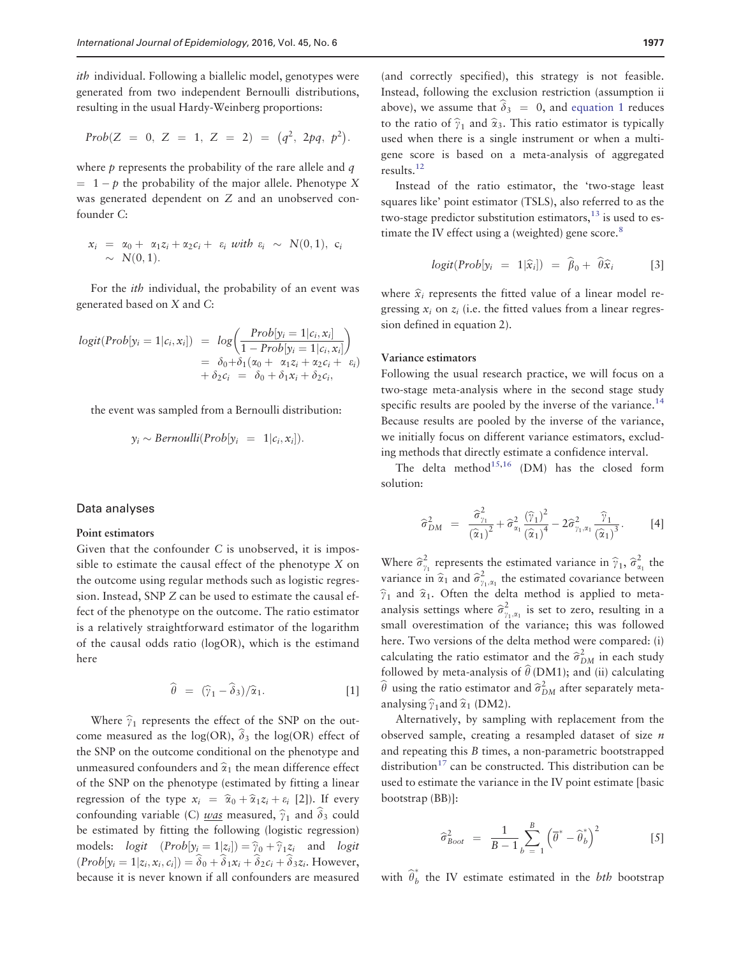<span id="page-2-0"></span>ith individual. Following a biallelic model, genotypes were generated from two independent Bernoulli distributions, resulting in the usual Hardy-Weinberg proportions:

$$
Prob(Z = 0, Z = 1, Z = 2) = (q^2, 2pq, p^2).
$$

where  $p$  represents the probability of the rare allele and  $q$  $= 1 - p$  the probability of the major allele. Phenotype X was generated dependent on Z and an unobserved confounder C:

$$
x_i = \alpha_0 + \alpha_1 z_i + \alpha_2 c_i + \varepsilon_i \text{ with } \varepsilon_i \sim N(0,1), \quad c_i
$$
  
 
$$
\sim N(0,1).
$$

For the ith individual, the probability of an event was generated based on X and C:

$$
logit(Prob[y_i = 1 | c_i, x_i]) = log\left(\frac{Prob[y_i = 1 | c_i, x_i]}{1 - Prob[y_i = 1 | c_i, x_i]}\right)
$$
  
=  $\delta_0 + \delta_1(\alpha_0 + \alpha_1 z_i + \alpha_2 c_i + \varepsilon_i)$   
+  $\delta_2 c_i = \delta_0 + \delta_1 x_i + \delta_2 c_i$ ,

the event was sampled from a Bernoulli distribution:

$$
y_i \sim Bernoulli(Prob[y_i = 1 | c_i, x_i]).
$$

#### Data analyses

#### Point estimators

Given that the confounder C is unobserved, it is impossible to estimate the causal effect of the phenotype X on the outcome using regular methods such as logistic regression. Instead, SNP Z can be used to estimate the causal effect of the phenotype on the outcome. The ratio estimator is a relatively straightforward estimator of the logarithm of the causal odds ratio (logOR), which is the estimand here

$$
\widehat{\theta} = (\widehat{\gamma}_1 - \widehat{\delta}_3)/\widehat{\alpha}_1. \tag{1}
$$

Where  $\hat{\gamma}_1$  represents the effect of the SNP on the outcome measured as the log(OR),  $\delta_3$  the log(OR) effect of the SNP on the outcome conditional on the phenotype and unmeasured confounders and  $\hat{\alpha}_1$  the mean difference effect of the SNP on the phenotype (estimated by fitting a linear regression of the type  $x_i = \hat{\alpha}_0 + \hat{\alpha}_1 z_i + \varepsilon_i$  [2]). If every confounding variable (C) was measured,  $\hat{\gamma}_1$  and  $\hat{\delta}_3$  could be estimated by fitting the following (logistic regression) models:  $logit$   $(Prob[y_i = 1|z_i]) = \hat{y}_0 + \hat{y}_1z_i$  and  $logit$  $(Prob[y_i = 1|z_i, x_i, c_i]) = \delta_0 + \delta_1x_i + \delta_2c_i + \delta_3z_i$ . However, because it is never known if all confounders are measured

(and correctly specified), this strategy is not feasible. Instead, following the exclusion restriction (assumption ii above), we assume that  $\hat{\delta}_3 = 0$ , and equation 1 reduces to the ratio of  $\hat{\gamma}_1$  and  $\hat{\alpha}_3$ . This ratio estimator is typically used when there is a single instrument or when a multigene score is based on a meta-analysis of aggregated results[.12](#page-10-0)

Instead of the ratio estimator, the 'two-stage least squares like' point estimator (TSLS), also referred to as the two-stage predictor substitution estimators, $13$  is used to estimate the IV effect using a (weighted) gene score. $8$ 

$$
logit(Prob[y_i = 1|\widehat{x}_i]) = \widehat{\beta}_0 + \widehat{\theta}\widehat{x}_i
$$
 [3]

where  $\hat{x}_i$  represents the fitted value of a linear model regressing  $x_i$  on  $z_i$  (i.e. the fitted values from a linear regression defined in equation 2).

#### Variance estimators

Following the usual research practice, we will focus on a two-stage meta-analysis where in the second stage study specific results are pooled by the inverse of the variance.<sup>14</sup> Because results are pooled by the inverse of the variance, we initially focus on different variance estimators, excluding methods that directly estimate a confidence interval.

The delta method<sup>[15,16](#page-11-0)</sup> (DM) has the closed form solution:

$$
\widehat{\sigma}_{DM}^2 = \frac{\widehat{\sigma}_{\gamma_1}^2}{\left(\widehat{\alpha}_1\right)^2} + \widehat{\sigma}_{\alpha_1}^2 \frac{\left(\widehat{\gamma}_1\right)^2}{\left(\widehat{\alpha}_1\right)^4} - 2\widehat{\sigma}_{\gamma_1,\alpha_1}^2 \frac{\widehat{\gamma}_1}{\left(\widehat{\alpha}_1\right)^3}.
$$
 [4]

Where  $\hat{\sigma}_{\gamma_1}^2$  represents the estimated variance in  $\hat{\gamma}_1$ ,  $\hat{\sigma}_{\alpha_1}^2$  the variance in  $\hat{\alpha}_1$  and  $\hat{\sigma}_{\gamma_1,\alpha_1}^2$  the estimated covariance between  $\hat{\gamma}_1$  and  $\hat{\alpha}_1$ . Often the delta method is applied to metaanalysis settings where  $\hat{\sigma}_{\gamma_1,\alpha_1}^2$  is set to zero, resulting in a small overestimation of the variance; this was followed here. Two versions of the delta method were compared: (i) calculating the ratio estimator and the  $\hat{\sigma}_{DM}^2$  in each study followed by meta-analysis of  $\theta$  (DM1); and (ii) calculating  $\widehat{\theta}$  using the ratio estimator and  $\widehat{\sigma}_{DM}^2$  after separately metaanalysing  $\hat{\gamma}_1$  and  $\hat{\alpha}_1$  (DM2).

Alternatively, by sampling with replacement from the observed sample, creating a resampled dataset of size n and repeating this B times, a non-parametric bootstrapped distribution<sup>[17](#page-11-0)</sup> can be constructed. This distribution can be used to estimate the variance in the IV point estimate [basic bootstrap (BB)]:

$$
\widehat{\sigma}_{Boot}^2 = \frac{1}{B-1} \sum_{b=1}^{B} \left( \overline{\theta}^* - \widehat{\theta}_b^* \right)^2 \qquad [5]
$$

with  $\widehat{\theta}_b^*$  the IV estimate estimated in the *bth* bootstrap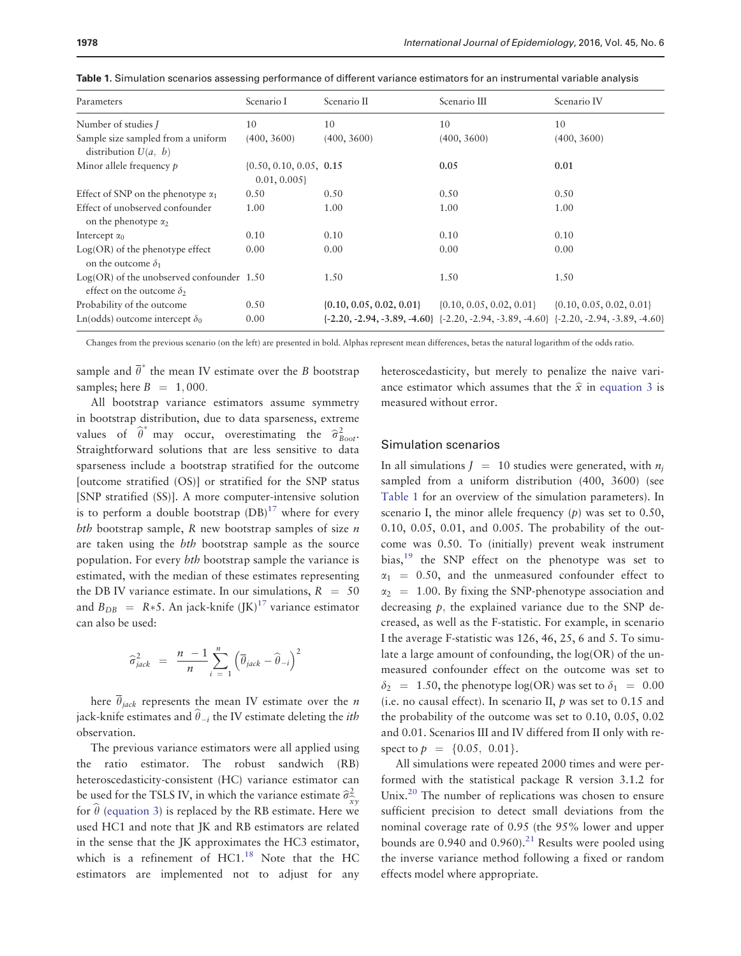| Parameters                                                                        | Scenario I                                  | Scenario II                  | Scenario III                                                                                       | Scenario IV                  |
|-----------------------------------------------------------------------------------|---------------------------------------------|------------------------------|----------------------------------------------------------------------------------------------------|------------------------------|
| Number of studies I                                                               | 10                                          | 10                           | 10                                                                                                 | 10                           |
| Sample size sampled from a uniform<br>distribution $U(a, b)$                      | (400, 3600)                                 | (400, 3600)                  | (400, 3600)                                                                                        | (400, 3600)                  |
| Minor allele frequency $p$                                                        | $\{0.50, 0.10, 0.05, 0.15\}$<br>0.01, 0.005 |                              | 0.05                                                                                               | 0.01                         |
| Effect of SNP on the phenotype $\alpha_1$                                         | 0.50                                        | 0.50                         | 0.50                                                                                               | 0.50                         |
| Effect of unobserved confounder<br>on the phenotype $\alpha_2$                    | 1.00                                        | 1.00                         | 1.00                                                                                               | 1.00                         |
| Intercept $\alpha_0$                                                              | 0.10                                        | 0.10                         | 0.10                                                                                               | 0.10                         |
| $Log(OR)$ of the phenotype effect<br>on the outcome $\delta_1$                    | 0.00                                        | 0.00                         | 0.00                                                                                               | 0.00                         |
| $Log(OR)$ of the unobserved confounder $1.50$<br>effect on the outcome $\delta_2$ |                                             | 1.50                         | 1.50                                                                                               | 1.50                         |
| Probability of the outcome                                                        | 0.50                                        | $\{0.10, 0.05, 0.02, 0.01\}$ | $\{0.10, 0.05, 0.02, 0.01\}$                                                                       | $\{0.10, 0.05, 0.02, 0.01\}$ |
| Ln(odds) outcome intercept $\delta_0$                                             | 0.00                                        |                              | $\{-2.20, -2.94, -3.89, -4.60\}$ $\{-2.20, -2.94, -3.89, -4.60\}$ $\{-2.20, -2.94, -3.89, -4.60\}$ |                              |

Table 1. Simulation scenarios assessing performance of different variance estimators for an instrumental variable analysis

Changes from the previous scenario (on the left) are presented in bold. Alphas represent mean differences, betas the natural logarithm of the odds ratio.

sample and  $\overline{\theta}^*$  the mean IV estimate over the B bootstrap samples; here  $B = 1,000$ .

All bootstrap variance estimators assume symmetry in bootstrap distribution, due to data sparseness, extreme values of  $\hat{\theta}^*$  may occur, overestimating the  $\hat{\sigma}_{Boot}^2$ . Straightforward solutions that are less sensitive to data sparseness include a bootstrap stratified for the outcome [outcome stratified (OS)] or stratified for the SNP status [SNP stratified (SS)]. A more computer-intensive solution is to perform a double bootstrap  $(DB)^{17}$  where for every bth bootstrap sample,  $R$  new bootstrap samples of size  $n$ are taken using the bth bootstrap sample as the source population. For every bth bootstrap sample the variance is estimated, with the median of these estimates representing the DB IV variance estimate. In our simulations,  $R = 50$ and  $B_{DB}$  = R\*5. An jack-knife  $([K)]^{17}$  $([K)]^{17}$  $([K)]^{17}$  variance estimator can also be used:

$$
\widehat{\sigma}_{jack}^2 = \frac{n-1}{n} \sum_{i=1}^{n} \left( \overline{\theta}_{jack} - \widehat{\theta}_{-i} \right)^2
$$

here  $\overline{\theta}_{iack}$  represents the mean IV estimate over the *n* jack-knife estimates and  $\hat{\theta}_{-i}$  the IV estimate deleting the *ith* observation.

The previous variance estimators were all applied using the ratio estimator. The robust sandwich (RB) heteroscedasticity-consistent (HC) variance estimator can be used for the TSLS IV, in which the variance estimate  $\hat{\sigma}_{\hat{\tau}}^2$ for  $\hat{\theta}$  ([equation 3](#page-2-0)) is replaced by the RB estimate. Here we used HC1 and note that JK and RB estimators are related in the sense that the JK approximates the HC3 estimator, which is a refinement of  $HCl<sup>18</sup>$  $HCl<sup>18</sup>$  $HCl<sup>18</sup>$  Note that the HC estimators are implemented not to adjust for any

heteroscedasticity, but merely to penalize the naive variance estimator which assumes that the  $\hat{x}$  in [equation 3](#page-2-0) is measured without error.

#### Simulation scenarios

In all simulations  $J = 10$  studies were generated, with  $n_i$ sampled from a uniform distribution (400, 3600) (see Table 1 for an overview of the simulation parameters). In scenario I, the minor allele frequency  $(p)$  was set to 0.50, 0.10, 0.05, 0.01, and 0.005. The probability of the outcome was 0.50. To (initially) prevent weak instrument bias, $19$  the SNP effect on the phenotype was set to  $\alpha_1$  = 0.50, and the unmeasured confounder effect to  $\alpha_2$  = 1.00. By fixing the SNP-phenotype association and decreasing  $p$ , the explained variance due to the SNP decreased, as well as the F-statistic. For example, in scenario I the average F-statistic was 126, 46, 25, 6 and 5. To simulate a large amount of confounding, the log(OR) of the unmeasured confounder effect on the outcome was set to  $\delta_2$  = 1.50, the phenotype log(OR) was set to  $\delta_1$  = 0.00 (i.e. no causal effect). In scenario II,  $p$  was set to 0.15 and the probability of the outcome was set to 0.10, 0.05, 0.02 and 0.01. Scenarios III and IV differed from II only with respect to  $p = \{0.05, 0.01\}.$ 

All simulations were repeated 2000 times and were performed with the statistical package R version 3.1.2 for Unix.<sup>[20](#page-11-0)</sup> The number of replications was chosen to ensure sufficient precision to detect small deviations from the nominal coverage rate of 0.95 (the 95% lower and upper bounds are  $0.940$  and  $0.960$ .<sup>21</sup> Results were pooled using the inverse variance method following a fixed or random effects model where appropriate.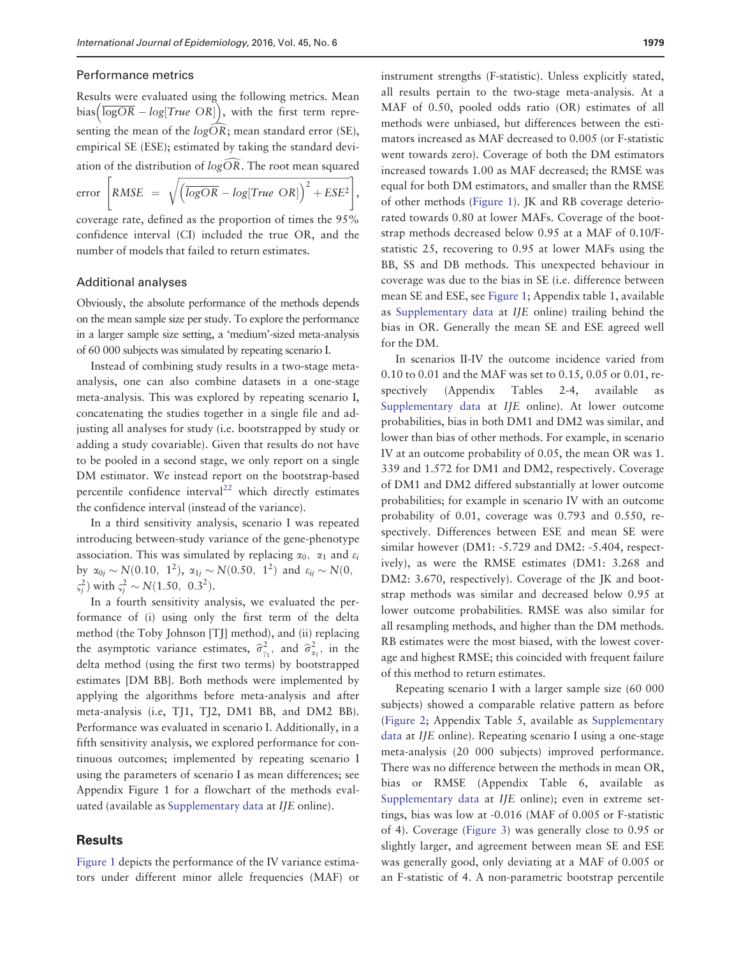#### Performance metrics

Results were evaluated using the following metrics. Mean bias  $\overline{logOR} - log[True \ OR]$ , with the first term representing the mean of the  $log\widehat{OR}$ ; mean standard error (SE), empirical SE (ESE); estimated by taking the standard deviation of the distribution of  $log\widehat{OR}$ . The root mean squared

error  $|RMSE|$  =  $\sqrt{logOR - log(True \ OR)}^2 + ESE^2$  $\begin{bmatrix} 1 & 1 \\ 1 & 1 \end{bmatrix}$ 

,

coverage rate, defined as the proportion of times the 95% confidence interval (CI) included the true OR, and the number of models that failed to return estimates.

#### Additional analyses

Obviously, the absolute performance of the methods depends on the mean sample size per study. To explore the performance in a larger sample size setting, a 'medium'-sized meta-analysis of 60 000 subjects was simulated by repeating scenario I.

Instead of combining study results in a two-stage metaanalysis, one can also combine datasets in a one-stage meta-analysis. This was explored by repeating scenario I, concatenating the studies together in a single file and adjusting all analyses for study (i.e. bootstrapped by study or adding a study covariable). Given that results do not have to be pooled in a second stage, we only report on a single DM estimator. We instead report on the bootstrap-based percentile confidence interval $22$  which directly estimates the confidence interval (instead of the variance).

In a third sensitivity analysis, scenario I was repeated introducing between-study variance of the gene-phenotype association. This was simulated by replacing  $\alpha_0$ ,  $\alpha_1$  and  $\varepsilon_i$ by  $\alpha_{0i} \sim N(0.10, 1^2)$ ,  $\alpha_{1i} \sim N(0.50, 1^2)$  and  $\varepsilon_{ii} \sim N(0, 1^2)$  $\zeta_j^2$ ) with  $\zeta_j^2 \sim N(1.50, 0.3^2)$ .

In a fourth sensitivity analysis, we evaluated the performance of (i) using only the first term of the delta method (the Toby Johnson [TJ] method), and (ii) replacing the asymptotic variance estimates,  $\hat{\sigma}_{\gamma_1}^2$ , and  $\hat{\sigma}_{\alpha_1}^2$ , in the delta method (using the first two terms) by bootstrapped estimates [DM BB]. Both methods were implemented by applying the algorithms before meta-analysis and after meta-analysis (i.e, TJ1, TJ2, DM1 BB, and DM2 BB). Performance was evaluated in scenario I. Additionally, in a fifth sensitivity analysis, we explored performance for continuous outcomes; implemented by repeating scenario I using the parameters of scenario I as mean differences; see Appendix Figure 1 for a flowchart of the methods evaluated (available as [Supplementary data](http://ije.oxfordjournals.org/lookup/suppl/doi:10.1093/ije/dyw123/-/DC1) at IJE online).

#### Results

[Figure 1](#page-5-0) depicts the performance of the IV variance estimators under different minor allele frequencies (MAF) or

instrument strengths (F-statistic). Unless explicitly stated, all results pertain to the two-stage meta-analysis. At a MAF of 0.50, pooled odds ratio (OR) estimates of all methods were unbiased, but differences between the estimators increased as MAF decreased to 0.005 (or F-statistic went towards zero). Coverage of both the DM estimators increased towards 1.00 as MAF decreased; the RMSE was equal for both DM estimators, and smaller than the RMSE of other methods ([Figure 1](#page-5-0)). JK and RB coverage deteriorated towards 0.80 at lower MAFs. Coverage of the bootstrap methods decreased below 0.95 at a MAF of 0.10/Fstatistic 25, recovering to 0.95 at lower MAFs using the BB, SS and DB methods. This unexpected behaviour in coverage was due to the bias in SE (i.e. difference between mean SE and ESE, see [Figure 1;](#page-5-0) Appendix table 1, available as [Supplementary data](http://ije.oxfordjournals.org/lookup/suppl/doi:10.1093/ije/dyw123/-/DC1) at IJE online) trailing behind the bias in OR. Generally the mean SE and ESE agreed well for the DM.

In scenarios II-IV the outcome incidence varied from 0.10 to 0.01 and the MAF was set to 0.15, 0.05 or 0.01, respectively (Appendix Tables 2-4, available as [Supplementary data](http://ije.oxfordjournals.org/lookup/suppl/doi:10.1093/ije/dyw123/-/DC1) at IJE online). At lower outcome probabilities, bias in both DM1 and DM2 was similar, and lower than bias of other methods. For example, in scenario IV at an outcome probability of 0.05, the mean OR was 1. 339 and 1.572 for DM1 and DM2, respectively. Coverage of DM1 and DM2 differed substantially at lower outcome probabilities; for example in scenario IV with an outcome probability of 0.01, coverage was 0.793 and 0.550, respectively. Differences between ESE and mean SE were similar however (DM1: -5.729 and DM2: -5.404, respectively), as were the RMSE estimates (DM1: 3.268 and DM2: 3.670, respectively). Coverage of the JK and bootstrap methods was similar and decreased below 0.95 at lower outcome probabilities. RMSE was also similar for all resampling methods, and higher than the DM methods. RB estimates were the most biased, with the lowest coverage and highest RMSE; this coincided with frequent failure of this method to return estimates.

Repeating scenario I with a larger sample size (60 000 subjects) showed a comparable relative pattern as before [\(Figure 2](#page-6-0); Appendix Table 5, available as [Supplementary](http://ije.oxfordjournals.org/lookup/suppl/doi:10.1093/ije/dyw123/-/DC1) [data](http://ije.oxfordjournals.org/lookup/suppl/doi:10.1093/ije/dyw123/-/DC1) at IJE online). Repeating scenario I using a one-stage meta-analysis (20 000 subjects) improved performance. There was no difference between the methods in mean OR, bias or RMSE (Appendix Table 6, available as [Supplementary data](http://ije.oxfordjournals.org/lookup/suppl/doi:10.1093/ije/dyw123/-/DC1) at IJE online); even in extreme settings, bias was low at -0.016 (MAF of 0.005 or F-statistic of 4). Coverage [\(Figure 3](#page-7-0)) was generally close to 0.95 or slightly larger, and agreement between mean SE and ESE was generally good, only deviating at a MAF of 0.005 or an F-statistic of 4. A non-parametric bootstrap percentile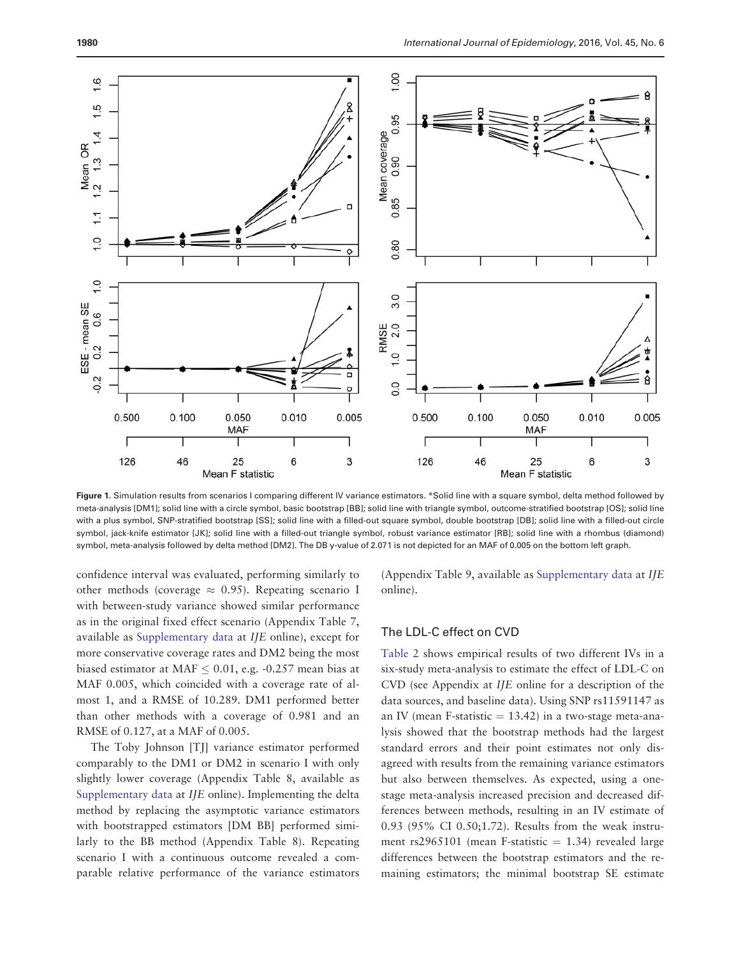<span id="page-5-0"></span>

Figure 1. Simulation results from scenarios I comparing different IV variance estimators. \*Solid line with a square symbol, delta method followed by meta-analysis [DM1]; solid line with a circle symbol, basic bootstrap [BB]; solid line with triangle symbol, outcome-stratified bootstrap [OS]; solid line with a plus symbol, SNP-stratified bootstrap [SS]; solid line with a filled-out square symbol, double bootstrap [DB]; solid line with a filled-out circle symbol, jack-knife estimator [JK]; solid line with a filled-out triangle symbol, robust variance estimator [RB]; solid line with a rhombus (diamond) symbol, meta-analysis followed by delta method [DM2]. The DB y-value of 2.071 is not depicted for an MAF of 0.005 on the bottom left graph.

confidence interval was evaluated, performing similarly to other methods (coverage  $\approx 0.95$ ). Repeating scenario I with between-study variance showed similar performance as in the original fixed effect scenario (Appendix Table 7, available as [Supplementary data](http://ije.oxfordjournals.org/lookup/suppl/doi:10.1093/ije/dyw123/-/DC1) at IJE online), except for more conservative coverage rates and DM2 being the most biased estimator at MAF  $\leq$  0.01, e.g. -0.257 mean bias at MAF 0.005, which coincided with a coverage rate of almost 1, and a RMSE of 10.289. DM1 performed better than other methods with a coverage of 0.981 and an RMSE of 0.127, at a MAF of 0.005.

The Toby Johnson [TJ] variance estimator performed comparably to the DM1 or DM2 in scenario I with only slightly lower coverage (Appendix Table 8, available as [Supplementary data](http://ije.oxfordjournals.org/lookup/suppl/doi:10.1093/ije/dyw123/-/DC1) at IJE online). Implementing the delta method by replacing the asymptotic variance estimators with bootstrapped estimators [DM BB] performed similarly to the BB method (Appendix Table 8). Repeating scenario I with a continuous outcome revealed a comparable relative performance of the variance estimators (Appendix Table 9, available as [Supplementary data](http://ije.oxfordjournals.org/lookup/suppl/doi:10.1093/ije/dyw123/-/DC1) at IJE online).

# The LDL-C effect on CVD

[Table 2](#page-8-0) shows empirical results of two different IVs in a six-study meta-analysis to estimate the effect of LDL-C on CVD (see Appendix at IJE online for a description of the data sources, and baseline data). Using SNP rs11591147 as an IV (mean F-statistic  $= 13.42$ ) in a two-stage meta-analysis showed that the bootstrap methods had the largest standard errors and their point estimates not only disagreed with results from the remaining variance estimators but also between themselves. As expected, using a onestage meta-analysis increased precision and decreased differences between methods, resulting in an IV estimate of 0.93 (95% CI 0.50;1.72). Results from the weak instrument rs2965101 (mean F-statistic  $= 1.34$ ) revealed large differences between the bootstrap estimators and the remaining estimators; the minimal bootstrap SE estimate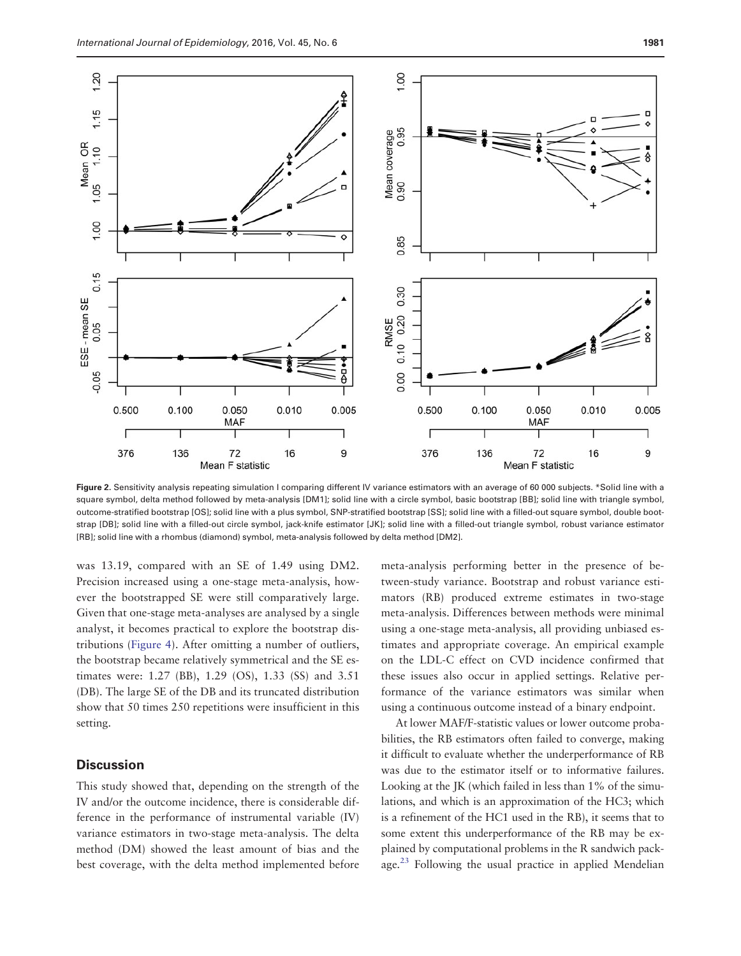<span id="page-6-0"></span>

Figure 2. Sensitivity analysis repeating simulation I comparing different IV variance estimators with an average of 60 000 subjects. \*Solid line with a square symbol, delta method followed by meta-analysis [DM1]; solid line with a circle symbol, basic bootstrap [BB]; solid line with triangle symbol, outcome-stratified bootstrap [OS]; solid line with a plus symbol, SNP-stratified bootstrap [SS]; solid line with a filled-out square symbol, double bootstrap [DB]; solid line with a filled-out circle symbol, jack-knife estimator [JK]; solid line with a filled-out triangle symbol, robust variance estimator [RB]; solid line with a rhombus (diamond) symbol, meta-analysis followed by delta method [DM2].

was 13.19, compared with an SE of 1.49 using DM2. Precision increased using a one-stage meta-analysis, however the bootstrapped SE were still comparatively large. Given that one-stage meta-analyses are analysed by a single analyst, it becomes practical to explore the bootstrap distributions [\(Figure 4\)](#page-7-0). After omitting a number of outliers, the bootstrap became relatively symmetrical and the SE estimates were: 1.27 (BB), 1.29 (OS), 1.33 (SS) and 3.51 (DB). The large SE of the DB and its truncated distribution show that 50 times 250 repetitions were insufficient in this setting.

# **Discussion**

This study showed that, depending on the strength of the IV and/or the outcome incidence, there is considerable difference in the performance of instrumental variable (IV) variance estimators in two-stage meta-analysis. The delta method (DM) showed the least amount of bias and the best coverage, with the delta method implemented before

meta-analysis performing better in the presence of between-study variance. Bootstrap and robust variance estimators (RB) produced extreme estimates in two-stage meta-analysis. Differences between methods were minimal using a one-stage meta-analysis, all providing unbiased estimates and appropriate coverage. An empirical example on the LDL-C effect on CVD incidence confirmed that these issues also occur in applied settings. Relative performance of the variance estimators was similar when using a continuous outcome instead of a binary endpoint.

At lower MAF/F-statistic values or lower outcome probabilities, the RB estimators often failed to converge, making it difficult to evaluate whether the underperformance of RB was due to the estimator itself or to informative failures. Looking at the JK (which failed in less than 1% of the simulations, and which is an approximation of the HC3; which is a refinement of the HC1 used in the RB), it seems that to some extent this underperformance of the RB may be explained by computational problems in the R sandwich pack-age.<sup>[23](#page-11-0)</sup> Following the usual practice in applied Mendelian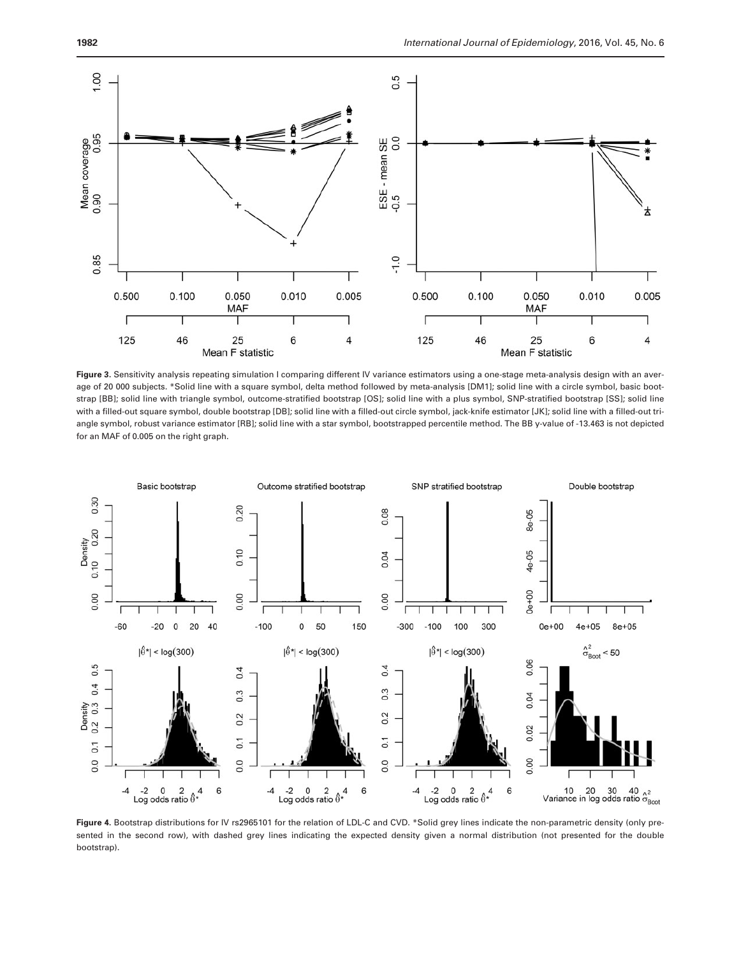<span id="page-7-0"></span>

Figure 3. Sensitivity analysis repeating simulation I comparing different IV variance estimators using a one-stage meta-analysis design with an average of 20 000 subjects. \*Solid line with a square symbol, delta method followed by meta-analysis [DM1]; solid line with a circle symbol, basic bootstrap [BB]; solid line with triangle symbol, outcome-stratified bootstrap [OS]; solid line with a plus symbol, SNP-stratified bootstrap [SS]; solid line with a filled-out square symbol, double bootstrap [DB]; solid line with a filled-out circle symbol, jack-knife estimator [JK]; solid line with a filled-out triangle symbol, robust variance estimator [RB]; solid line with a star symbol, bootstrapped percentile method. The BB y-value of -13.463 is not depicted for an MAF of 0.005 on the right graph.



Figure 4. Bootstrap distributions for IV rs2965101 for the relation of LDL-C and CVD. \*Solid grey lines indicate the non-parametric density (only presented in the second row), with dashed grey lines indicating the expected density given a normal distribution (not presented for the double bootstrap).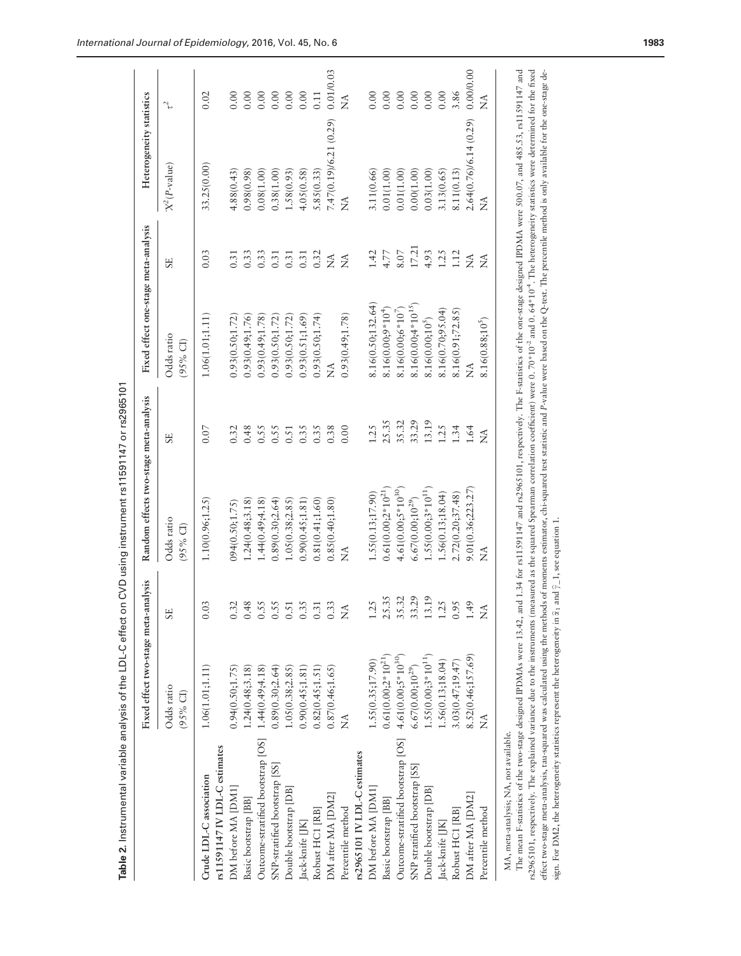<span id="page-8-0"></span>

|                                                           | Fixed effect two-stage meta-analysis |                      | Random effects two-stage meta-analysis |                  | Fixed effect one-stage meta-analysis |                                          | Heterogeneity statistics |                       |
|-----------------------------------------------------------|--------------------------------------|----------------------|----------------------------------------|------------------|--------------------------------------|------------------------------------------|--------------------------|-----------------------|
|                                                           | Odds ratio<br>$(95%$ CI)             | <b>SE</b>            | Odds ratio<br>$(95\% \text{ Cl})$      | <b>SE</b>        | Odds ratio<br>$(95%$ CI)             | <b>SE</b>                                | $X^2(P\text{-value})$    | J,                    |
| Crude LDL-C association                                   | 1.06(1.01;1.11)                      | 0.03                 | 1.10(0.96; 1.25)                       | 0.07             | 1.06(1.01;1.11)                      | 0.03                                     | 33.25(0.00)              | 0.02                  |
| rs11591147 IV LDL-C estimates                             |                                      |                      |                                        |                  |                                      |                                          |                          |                       |
| DM before MA [DM1]                                        | 1.24(0.48; 3.18)<br>0.94(0.50;1.75)  | 0.32<br>0.48         | 1.24(0.48; 3.18)<br>094(0.50;1.75)     | 0.32             | 0.93(0.50;1.72)                      | 0.31                                     | 4.88(0.43)<br>0.98(0.98) | 0.00                  |
| Outcome-stratified bootstrap [OS]<br>Basic bootstrap [BB] | 1.44(0.49; 4.18)                     | 0.55                 | 1.44(0.49; 4.18)                       | 0.48<br>0.55     | 0.93(0.49;1.76)<br>0.93(0.49;1.78    | 0.33<br>0.33                             | 0.08(1.00)               | 0.00<br>0.00          |
| SNP-stratified bootstrap [SS]                             | 0.89(0.30;2.64)                      | 0.55                 | 0.89(0.30; 2.64)                       | 0.55             | 0.93(0.50;1.72)                      | 0.31                                     | 0.38(1.00)               | 0.00                  |
| Double bootstrap [DB]                                     | 1.05(0.38; 2.85)                     | $0.51\,$             | 1.05(0.38; 2.85)                       | 0.51             | 0.93(0.50; 1.72)                     | 0.31                                     | 1.58(0.93)               | 0.00                  |
| Jack-knife [JK]                                           | 0.90(0.45; 1.81)                     | 0.35                 | 0.90(0.45;1.81)                        | 0.35             | 0.93(0.51;1.69)                      | 0.31                                     | 4.05(0.58)               | $0.00\,$              |
| Robust HC1 [RB]                                           | 0.82(0.45;1.51)                      | 0.3                  | 0.81(0.41;1.60)                        | 0.35             | 0.93(0.50;1.74)                      | 0.32                                     | 5.85(0.33)               | 0.11                  |
| DM after MA [DM2]                                         | 0.87(0.46;1.65)                      | 0.33                 | 0.85(0.40;1.80)                        | 0.38             | Ž                                    | $\stackrel{\triangle}{\scriptstyle\sim}$ | 7.47(0.19)/6.21 (0.29)   | 0.01/0.03             |
| Percentile method                                         | ź                                    | $\widetilde{\Sigma}$ | ź                                      | 0.00             | 0.93(0.49;1.78)                      | $\stackrel{\triangle}{\Sigma}$           | Ź                        | $\widetilde{\vec{z}}$ |
| rs2965101 IV LDL-C estimates                              |                                      |                      |                                        |                  |                                      |                                          |                          |                       |
| DM before MA [DM1]                                        | 1.55(0.35;17.90)                     | 1.25                 | 1.55(0.13;17.90)                       | 1.25             | 8.16(0.50;132.64)                    | $1.42$                                   | 3.11(0.66)               | 0.00                  |
| Basic bootstrap [BB]                                      | $0.61(0.00;2*10^{21})$               | 25.35                | $0.61(0.00;2*10^{21})$                 | 25.35            | $8.16(0.00;9*104)$                   | 4.77                                     | 0.01(1.00)               | 0.00                  |
| Outcome-stratified bootstrap [OS]                         | $4.61(0.00; 5*10^{30})$              | 35.32                | $4.61(0.00;5*10^{30})$                 | 35.32            | $8.16(0.00; 6*10^7)$                 | $8.07$                                   | 0.01(1.00)               | 0.00                  |
| SNP stratified bootstrap [SS]                             | $6.67(0.00;10^{29})$                 | 33.29                | $6.67(0.00;10^{29})$                   | 33.29            | $8.16(0.00;4*10^{15})$               | 17.21                                    | 0.00(1.00)               | 0.00                  |
| Double bootstrap [DB]                                     | $1.55(0.00;3*10^{11})$               | 13.19                | $1.55(0.00;3*10^{11})$                 | 13.19            | 8.16(0.00;10 <sup>5</sup> )          | 4.93                                     | 0.03(1.00)               | $0.00\,$              |
| Jack-knife [JK]                                           | 1.56(0.13;18.04)                     | 1.25                 | 1.56(0.13;18.04)                       | 1.25             | 8.16(0.70;95.04)                     | 1.25                                     | 3.13(0.65)               | 0.00                  |
| Robust HC1 [RB]                                           | 3.03(0.47; 19.47)                    | 0.95                 | 2.72(0.20; 37.48)                      | 1.34             | 8.16(0.91;72.85)                     | 1.12                                     | 8.11(0.13)               | 3.86                  |
| DM after MA [DM2]                                         | 8.52(0.46;157.69)                    | 1.49                 | 9.01(0.36;223.27                       | 1.64             | Ź                                    | $\tilde{\Sigma}$                         | 2.64(0.76)/6.14 (0.29)   | 0.0000.00             |
| Percentile method                                         | $\widetilde{\Sigma}$                 | Ź                    | Ź                                      | $\tilde{\Sigma}$ | 8.16(0.88;10 <sup>5</sup> )          | Ź                                        | Ź                        | $\widetilde{\vec{z}}$ |

The mean F-statistics of the two-stage designed IPDMAs were 13.42, and 1.34 for rs11591147 and rs2965101, respectively. The F-statistics of the one-stage designed IPDMA were 500.07, and 485.53, rs11591147 and<br>rs2965101, re The mean F-statistics of the two-stage designed IPDMAs were 13.42, and 1.34 for rs11591147 and rs2965101, respectively. The F-statistics of the one-stage designed IPDMA were 500.07, and 485.53, rs11591147 and rs2965101, respectively. The explained variance due to the instruments (measured as the squared Spearman correlation coefficient) were 0. 70\*10-2 and 0. 64\*10-4. The heterogeneity statistics were determined for the fixed effect two-stage meta-analysis, tau-squared was calculated using the methods of moments estimator, chi-squared test statistic and P-value were based on the Q-test. The percentile method is only available for the one-stage sign. For DM2, the heterogeneity statistics represent the heterogeneity in  $\hat{\alpha}_1$  and  $\hat{\gamma}_-1$ , see equation 1. sign. For DM2, the heterogeneity statistics represent the heterogeneity in  $\hat{\alpha}_1$  and  $\hat{\gamma}$  1, see equation 1.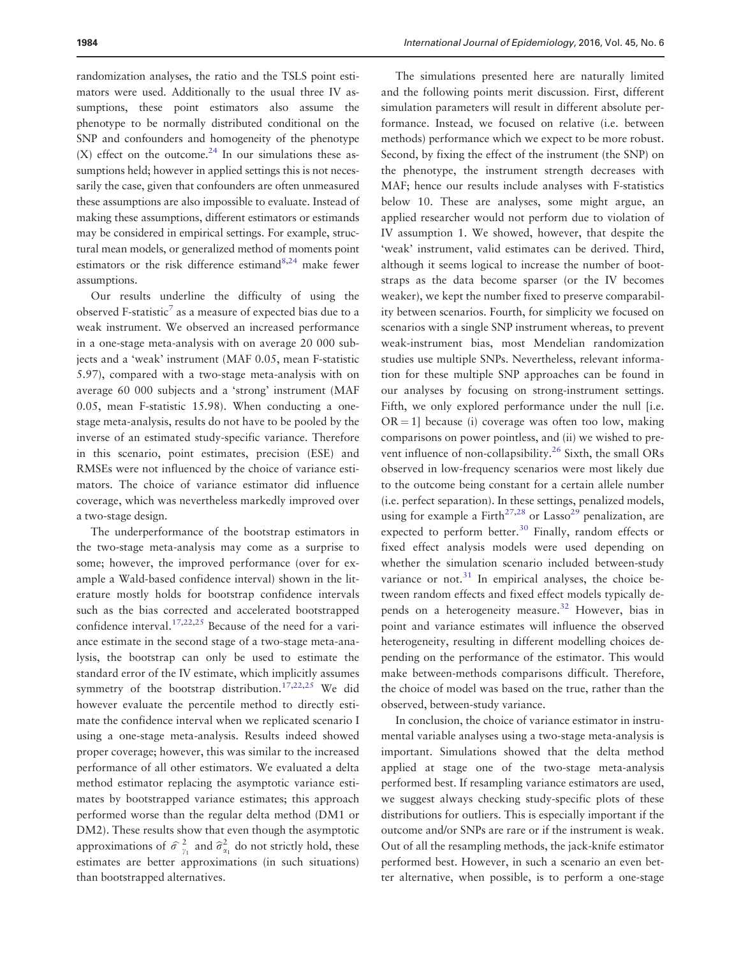randomization analyses, the ratio and the TSLS point estimators were used. Additionally to the usual three IV assumptions, these point estimators also assume the phenotype to be normally distributed conditional on the SNP and confounders and homogeneity of the phenotype (X) effect on the outcome.<sup>24</sup> In our simulations these assumptions held; however in applied settings this is not necessarily the case, given that confounders are often unmeasured these assumptions are also impossible to evaluate. Instead of making these assumptions, different estimators or estimands may be considered in empirical settings. For example, structural mean models, or generalized method of moments point estimators or the risk difference estimand $8,24$  $8,24$  make fewer assumptions.

Our results underline the difficulty of using the observed F-statistic<sup>7</sup> as a measure of expected bias due to a weak instrument. We observed an increased performance in a one-stage meta-analysis with on average 20 000 subjects and a 'weak' instrument (MAF 0.05, mean F-statistic 5.97), compared with a two-stage meta-analysis with on average 60 000 subjects and a 'strong' instrument (MAF 0.05, mean F-statistic 15.98). When conducting a onestage meta-analysis, results do not have to be pooled by the inverse of an estimated study-specific variance. Therefore in this scenario, point estimates, precision (ESE) and RMSEs were not influenced by the choice of variance estimators. The choice of variance estimator did influence coverage, which was nevertheless markedly improved over a two-stage design.

The underperformance of the bootstrap estimators in the two-stage meta-analysis may come as a surprise to some; however, the improved performance (over for example a Wald-based confidence interval) shown in the literature mostly holds for bootstrap confidence intervals such as the bias corrected and accelerated bootstrapped confidence interval.<sup>[17,22,25](#page-11-0)</sup> Because of the need for a variance estimate in the second stage of a two-stage meta-analysis, the bootstrap can only be used to estimate the standard error of the IV estimate, which implicitly assumes symmetry of the bootstrap distribution.<sup>[17,22](#page-11-0),[25](#page-11-0)</sup> We did however evaluate the percentile method to directly estimate the confidence interval when we replicated scenario I using a one-stage meta-analysis. Results indeed showed proper coverage; however, this was similar to the increased performance of all other estimators. We evaluated a delta method estimator replacing the asymptotic variance estimates by bootstrapped variance estimates; this approach performed worse than the regular delta method (DM1 or DM2). These results show that even though the asymptotic approximations of  $\hat{\sigma}^2_{\gamma_1}$  and  $\hat{\sigma}^2_{\alpha_1}$  do not strictly hold, these estimates are better approximations (in such situations) than bootstrapped alternatives.

The simulations presented here are naturally limited and the following points merit discussion. First, different simulation parameters will result in different absolute performance. Instead, we focused on relative (i.e. between methods) performance which we expect to be more robust. Second, by fixing the effect of the instrument (the SNP) on the phenotype, the instrument strength decreases with MAF; hence our results include analyses with F-statistics below 10. These are analyses, some might argue, an applied researcher would not perform due to violation of IV assumption 1. We showed, however, that despite the 'weak' instrument, valid estimates can be derived. Third, although it seems logical to increase the number of bootstraps as the data become sparser (or the IV becomes weaker), we kept the number fixed to preserve comparability between scenarios. Fourth, for simplicity we focused on scenarios with a single SNP instrument whereas, to prevent weak-instrument bias, most Mendelian randomization studies use multiple SNPs. Nevertheless, relevant information for these multiple SNP approaches can be found in our analyses by focusing on strong-instrument settings. Fifth, we only explored performance under the null [i.e.  $OR = 1$ ] because (i) coverage was often too low, making comparisons on power pointless, and (ii) we wished to prevent influence of non-collapsibility.<sup>26</sup> Sixth, the small ORs observed in low-frequency scenarios were most likely due to the outcome being constant for a certain allele number (i.e. perfect separation). In these settings, penalized models, using for example a Firth<sup>27,28</sup> or Lasso<sup>[29](#page-11-0)</sup> penalization, are expected to perform better.<sup>30</sup> Finally, random effects or fixed effect analysis models were used depending on whether the simulation scenario included between-study variance or not. $31$  In empirical analyses, the choice between random effects and fixed effect models typically de-pends on a heterogeneity measure.<sup>[32](#page-11-0)</sup> However, bias in point and variance estimates will influence the observed heterogeneity, resulting in different modelling choices depending on the performance of the estimator. This would make between-methods comparisons difficult. Therefore, the choice of model was based on the true, rather than the observed, between-study variance.

In conclusion, the choice of variance estimator in instrumental variable analyses using a two-stage meta-analysis is important. Simulations showed that the delta method applied at stage one of the two-stage meta-analysis performed best. If resampling variance estimators are used, we suggest always checking study-specific plots of these distributions for outliers. This is especially important if the outcome and/or SNPs are rare or if the instrument is weak. Out of all the resampling methods, the jack-knife estimator performed best. However, in such a scenario an even better alternative, when possible, is to perform a one-stage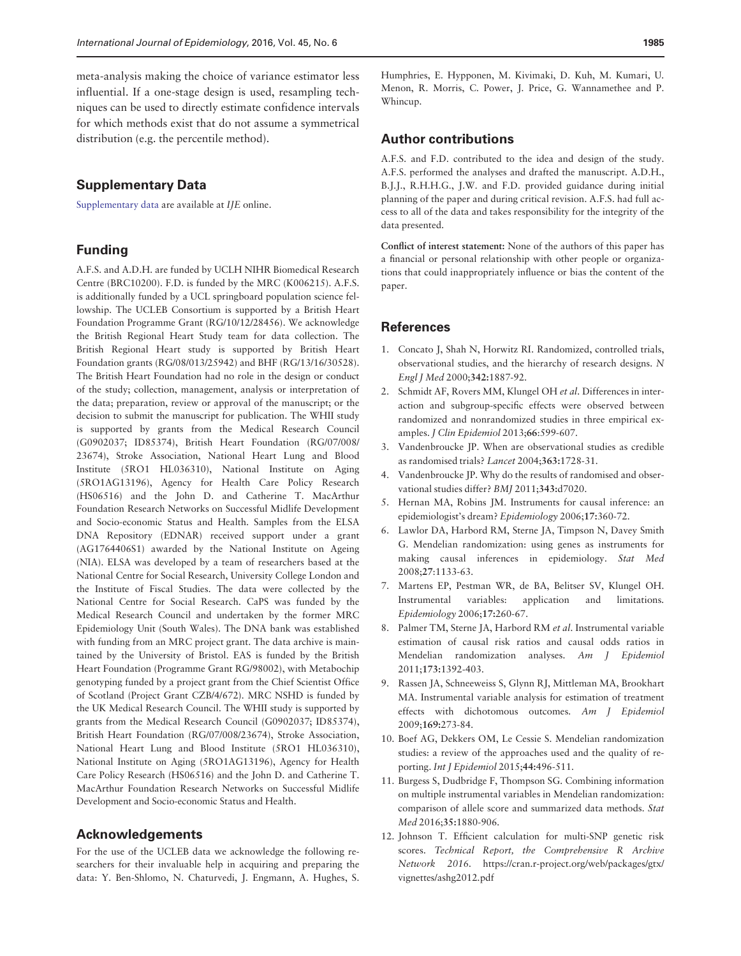<span id="page-10-0"></span>meta-analysis making the choice of variance estimator less influential. If a one-stage design is used, resampling techniques can be used to directly estimate confidence intervals for which methods exist that do not assume a symmetrical distribution (e.g. the percentile method).

# Supplementary Data

[Supplementary data](http://ije.oxfordjournals.org/lookup/suppl/doi:10.1093/ije/dyw123/-/DC1) are available at IJE online.

# Funding

A.F.S. and A.D.H. are funded by UCLH NIHR Biomedical Research Centre (BRC10200). F.D. is funded by the MRC (K006215). A.F.S. is additionally funded by a UCL springboard population science fellowship. The UCLEB Consortium is supported by a British Heart Foundation Programme Grant (RG/10/12/28456). We acknowledge the British Regional Heart Study team for data collection. The British Regional Heart study is supported by British Heart Foundation grants (RG/08/013/25942) and BHF (RG/13/16/30528). The British Heart Foundation had no role in the design or conduct of the study; collection, management, analysis or interpretation of the data; preparation, review or approval of the manuscript; or the decision to submit the manuscript for publication. The WHII study is supported by grants from the Medical Research Council (G0902037; ID85374), British Heart Foundation (RG/07/008/ 23674), Stroke Association, National Heart Lung and Blood Institute (5RO1 HL036310), National Institute on Aging (5RO1AG13196), Agency for Health Care Policy Research (HS06516) and the John D. and Catherine T. MacArthur Foundation Research Networks on Successful Midlife Development and Socio-economic Status and Health. Samples from the ELSA DNA Repository (EDNAR) received support under a grant (AG1764406S1) awarded by the National Institute on Ageing (NIA). ELSA was developed by a team of researchers based at the National Centre for Social Research, University College London and the Institute of Fiscal Studies. The data were collected by the National Centre for Social Research. CaPS was funded by the Medical Research Council and undertaken by the former MRC Epidemiology Unit (South Wales). The DNA bank was established with funding from an MRC project grant. The data archive is maintained by the University of Bristol. EAS is funded by the British Heart Foundation (Programme Grant RG/98002), with Metabochip genotyping funded by a project grant from the Chief Scientist Office of Scotland (Project Grant CZB/4/672). MRC NSHD is funded by the UK Medical Research Council. The WHII study is supported by grants from the Medical Research Council (G0902037; ID85374), British Heart Foundation (RG/07/008/23674), Stroke Association, National Heart Lung and Blood Institute (5RO1 HL036310), National Institute on Aging (5RO1AG13196), Agency for Health Care Policy Research (HS06516) and the John D. and Catherine T. MacArthur Foundation Research Networks on Successful Midlife Development and Socio-economic Status and Health.

### Acknowledgements

For the use of the UCLEB data we acknowledge the following researchers for their invaluable help in acquiring and preparing the data: Y. Ben-Shlomo, N. Chaturvedi, J. Engmann, A. Hughes, S.

Humphries, E. Hypponen, M. Kivimaki, D. Kuh, M. Kumari, U. Menon, R. Morris, C. Power, J. Price, G. Wannamethee and P. Whincup.

# Author contributions

A.F.S. and F.D. contributed to the idea and design of the study. A.F.S. performed the analyses and drafted the manuscript. A.D.H., B.J.J., R.H.H.G., J.W. and F.D. provided guidance during initial planning of the paper and during critical revision. A.F.S. had full access to all of the data and takes responsibility for the integrity of the data presented.

Conflict of interest statement: None of the authors of this paper has a financial or personal relationship with other people or organizations that could inappropriately influence or bias the content of the paper.

#### References

- 1. Concato J, Shah N, Horwitz RI. Randomized, controlled trials, observational studies, and the hierarchy of research designs. N Engl J Med 2000;342:1887-92.
- 2. Schmidt AF, Rovers MM, Klungel OH et al. Differences in interaction and subgroup-specific effects were observed between randomized and nonrandomized studies in three empirical examples. J Clin Epidemiol 2013;66:599-607.
- 3. Vandenbroucke JP. When are observational studies as credible as randomised trials? Lancet 2004;363:1728-31.
- 4. Vandenbroucke JP. Why do the results of randomised and observational studies differ? BMJ 2011;343:d7020.
- 5. Hernan MA, Robins JM. Instruments for causal inference: an epidemiologist's dream? Epidemiology 2006;17:360-72.
- 6. Lawlor DA, Harbord RM, Sterne JA, Timpson N, Davey Smith G. Mendelian randomization: using genes as instruments for making causal inferences in epidemiology. Stat Med 2008;27:1133-63.
- 7. Martens EP, Pestman WR, de BA, Belitser SV, Klungel OH. Instrumental variables: application and limitations. Epidemiology 2006;17:260-67.
- 8. Palmer TM, Sterne JA, Harbord RM et al. Instrumental variable estimation of causal risk ratios and causal odds ratios in Mendelian randomization analyses. Am J Epidemiol 2011;173:1392-403.
- 9. Rassen JA, Schneeweiss S, Glynn RJ, Mittleman MA, Brookhart MA. Instrumental variable analysis for estimation of treatment effects with dichotomous outcomes. Am J Epidemiol 2009;169:273-84.
- 10. Boef AG, Dekkers OM, Le Cessie S. Mendelian randomization studies: a review of the approaches used and the quality of reporting. Int J Epidemiol 2015;44:496-511.
- 11. Burgess S, Dudbridge F, Thompson SG. Combining information on multiple instrumental variables in Mendelian randomization: comparison of allele score and summarized data methods. Stat Med 2016;35:1880-906.
- 12. Johnson T. Efficient calculation for multi-SNP genetic risk scores. Technical Report, the Comprehensive R Archive Network 2016. [https://cran.r-project.org/web/packages/gtx/](https://cran.r-project.org/web/packages/gtx/vignettes/ashg2012.pdf) [vignettes/ashg2012.pdf](https://cran.r-project.org/web/packages/gtx/vignettes/ashg2012.pdf)